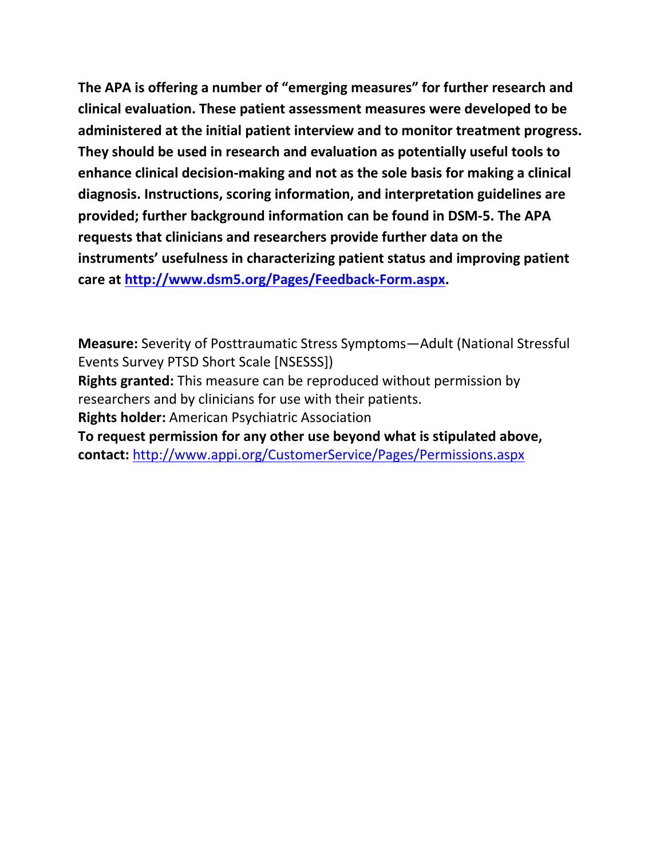**The APA is offering a number of "emerging measures" for further research and clinical evaluation. These patient assessment measures were developed to be administered at the initial patient interview and to monitor treatment progress. They should be used in research and evaluation as potentially useful tools to enhance clinical decision-making and not as the sole basis for making a clinical diagnosis. Instructions, scoring information, and interpretation guidelines are provided; further background information can be found in DSM-5. The APA requests that clinicians and researchers provide further data on the instruments' usefulness in characterizing patient status and improving patient care at [http://www.dsm5.org/Pages/Feedback-Form.aspx.](http://www.dsm5.org/Pages/Feedback-Form.aspx)**

**Measure:** Severity of Posttraumatic Stress Symptoms—Adult (National Stressful Events Survey PTSD Short Scale [NSESSS])

**Rights granted:** This measure can be reproduced without permission by researchers and by clinicians for use with their patients.

**Rights holder:** American Psychiatric Association

**To request permission for any other use beyond what is stipulated above, contact:** <http://www.appi.org/CustomerService/Pages/Permissions.aspx>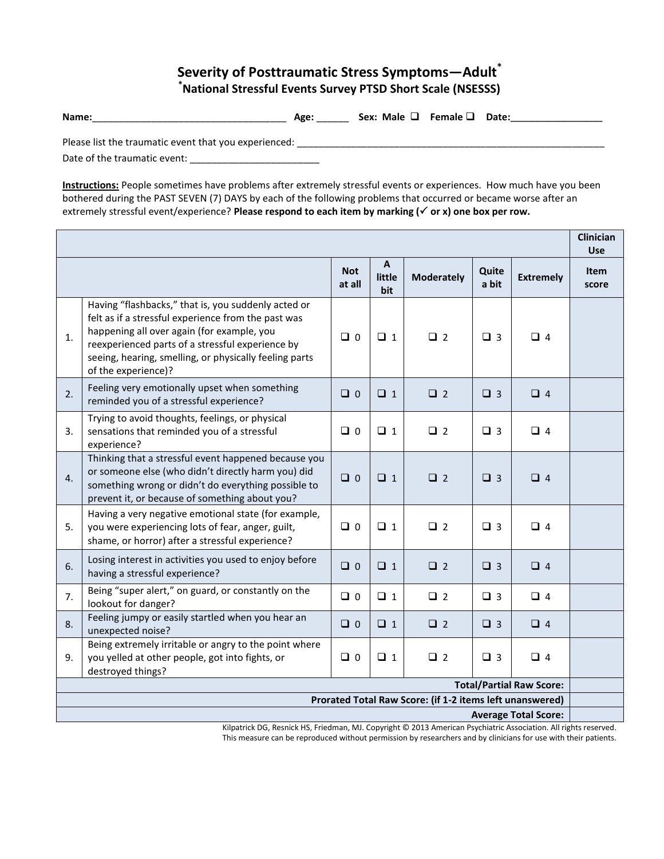## **Severity of Posttraumatic Stress Symptoms—Adult\* \*National Stressful Events Survey PTSD Short Scale (NSESSS)**

**Name:**\_\_\_\_\_\_\_\_\_\_\_\_\_\_\_\_\_\_\_\_\_\_\_\_\_\_\_\_\_\_\_\_\_\_\_\_ **Age:** \_\_\_\_\_\_ **Sex: Male Female Date:\_\_\_\_\_\_\_\_\_\_\_\_\_\_\_\_\_**

Please list the traumatic event that you experienced: \_\_\_\_\_\_\_\_\_\_\_\_\_\_\_\_\_\_\_\_\_\_\_\_\_\_\_\_\_\_\_\_\_\_\_\_\_\_\_\_\_\_\_\_\_\_\_\_\_\_\_\_\_\_\_\_\_ Date of the traumatic event: \_\_\_\_\_\_\_\_\_\_\_\_\_\_\_\_\_\_\_\_\_\_\_\_

**Instructions:** People sometimes have problems after extremely stressful events or experiences. How much have you been bothered during the PAST SEVEN (7) DAYS by each of the following problems that occurred or became worse after an extremely stressful event/experience? **Please respond to each item by marking (√ or x) one box per row.** 

|                                                                                                                                                                    |                                                                                                                                                                                                                                                                                               |                      |                               |                   |                |                  | <b>Clinician</b><br><b>Use</b> |
|--------------------------------------------------------------------------------------------------------------------------------------------------------------------|-----------------------------------------------------------------------------------------------------------------------------------------------------------------------------------------------------------------------------------------------------------------------------------------------|----------------------|-------------------------------|-------------------|----------------|------------------|--------------------------------|
|                                                                                                                                                                    |                                                                                                                                                                                                                                                                                               | <b>Not</b><br>at all | $\mathbf{A}$<br>little<br>bit | <b>Moderately</b> | Quite<br>a bit | <b>Extremely</b> | <b>Item</b><br>score           |
| 1.                                                                                                                                                                 | Having "flashbacks," that is, you suddenly acted or<br>felt as if a stressful experience from the past was<br>happening all over again (for example, you<br>reexperienced parts of a stressful experience by<br>seeing, hearing, smelling, or physically feeling parts<br>of the experience)? | $\Box$ 0             | $\Box$ 1                      | $\Box$ 2          | $\Box$ 3       | $\Box$ 4         |                                |
| 2.                                                                                                                                                                 | Feeling very emotionally upset when something<br>reminded you of a stressful experience?                                                                                                                                                                                                      | $\Box$ 0             | $\Box$ 1                      | $\Box$ 2          | $\Box$ 3       | $\Box$ 4         |                                |
| 3.                                                                                                                                                                 | Trying to avoid thoughts, feelings, or physical<br>sensations that reminded you of a stressful<br>experience?                                                                                                                                                                                 | $\Box$ 0             | $\Box$ 1                      | $\Box$ 2          | $\Box$ 3       | $\Box$ 4         |                                |
| 4.                                                                                                                                                                 | Thinking that a stressful event happened because you<br>or someone else (who didn't directly harm you) did<br>something wrong or didn't do everything possible to<br>prevent it, or because of something about you?                                                                           | $\Box$ 0             | $\Box$ 1                      | $\Box$ 2          | $\Box$ 3       | $\Box$ 4         |                                |
| 5.                                                                                                                                                                 | Having a very negative emotional state (for example,<br>you were experiencing lots of fear, anger, guilt,<br>shame, or horror) after a stressful experience?                                                                                                                                  | $\Box$ 0             | $\Box$ 1                      | $\square$ 2       | $\Box$ 3       | $\Box$ 4         |                                |
| 6.                                                                                                                                                                 | Losing interest in activities you used to enjoy before<br>having a stressful experience?                                                                                                                                                                                                      | $\Box$ 0             | $\Box$ 1                      | $\Box$ 2          | $\Box$ 3       | $\Box$ 4         |                                |
| 7.                                                                                                                                                                 | Being "super alert," on guard, or constantly on the<br>lookout for danger?                                                                                                                                                                                                                    | $\Box$ 0             | $\Box$ 1                      | $\Box$ 2          | $\Box$ 3       | $\Box$ 4         |                                |
| 8.                                                                                                                                                                 | Feeling jumpy or easily startled when you hear an<br>unexpected noise?                                                                                                                                                                                                                        | $\Box$ 0             | $\Box$ 1                      | $\Box$ 2          | $\Box$ 3       | $\Box$ 4         |                                |
| 9.                                                                                                                                                                 | Being extremely irritable or angry to the point where<br>you yelled at other people, got into fights, or<br>destroyed things?                                                                                                                                                                 | $\Box$ 0             | $\Box$ 1                      | $\Box$ 2          | $\Box$ 3       | $\Box$ 4         |                                |
| <b>Total/Partial Raw Score:</b>                                                                                                                                    |                                                                                                                                                                                                                                                                                               |                      |                               |                   |                |                  |                                |
| Prorated Total Raw Score: (if 1-2 items left unanswered)                                                                                                           |                                                                                                                                                                                                                                                                                               |                      |                               |                   |                |                  |                                |
| <b>Average Total Score:</b><br>$\mathbf{A}$<br>and the contribution of a significant of<br>$\mathbf{H} \mathbf{R} = \mathbf{H} \mathbf{R} + \mathbf{H} \mathbf{R}$ |                                                                                                                                                                                                                                                                                               |                      |                               |                   |                |                  |                                |

Kilpatrick DG, Resnick HS, Friedman, MJ. Copyright © 2013 American Psychiatric Association. All rights reserved. This measure can be reproduced without permission by researchers and by clinicians for use with their patients.